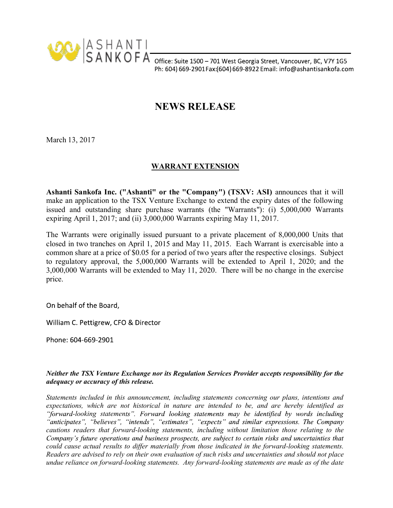

Ph: 604) 669-2901 Fax: (604) 669-8922 Email: info@ashantisankofa.com

## NEWS RELEASE

March 13, 2017

## WARRANT EXTENSION

Ashanti Sankofa Inc. ("Ashanti" or the "Company") (TSXV: ASI) announces that it will make an application to the TSX Venture Exchange to extend the expiry dates of the following issued and outstanding share purchase warrants (the "Warrants"): (i) 5,000,000 Warrants expiring April 1, 2017; and (ii) 3,000,000 Warrants expiring May 11, 2017.

The Warrants were originally issued pursuant to a private placement of 8,000,000 Units that closed in two tranches on April 1, 2015 and May 11, 2015. Each Warrant is exercisable into a common share at a price of \$0.05 for a period of two years after the respective closings. Subject to regulatory approval, the 5,000,000 Warrants will be extended to April 1, 2020; and the 3,000,000 Warrants will be extended to May 11, 2020. There will be no change in the exercise price.

On behalf of the Board,

William C. Pettigrew, CFO & Director

Phone: 604-669-2901

## Neither the TSX Venture Exchange nor its Regulation Services Provider accepts responsibility for the adequacy or accuracy of this release.

Statements included in this announcement, including statements concerning our plans, intentions and expectations, which are not historical in nature are intended to be, and are hereby identified as "forward-looking statements". Forward looking statements may be identified by words including "anticipates", "believes", "intends", "estimates", "expects" and similar expressions. The Company cautions readers that forward-looking statements, including without limitation those relating to the Company's future operations and business prospects, are subject to certain risks and uncertainties that could cause actual results to differ materially from those indicated in the forward-looking statements.<br>Readers are advised to rely on their own evaluation of such risks and uncertainties and should not place undue reliance on forward-looking statements. Any forward-looking statements are made as of the date